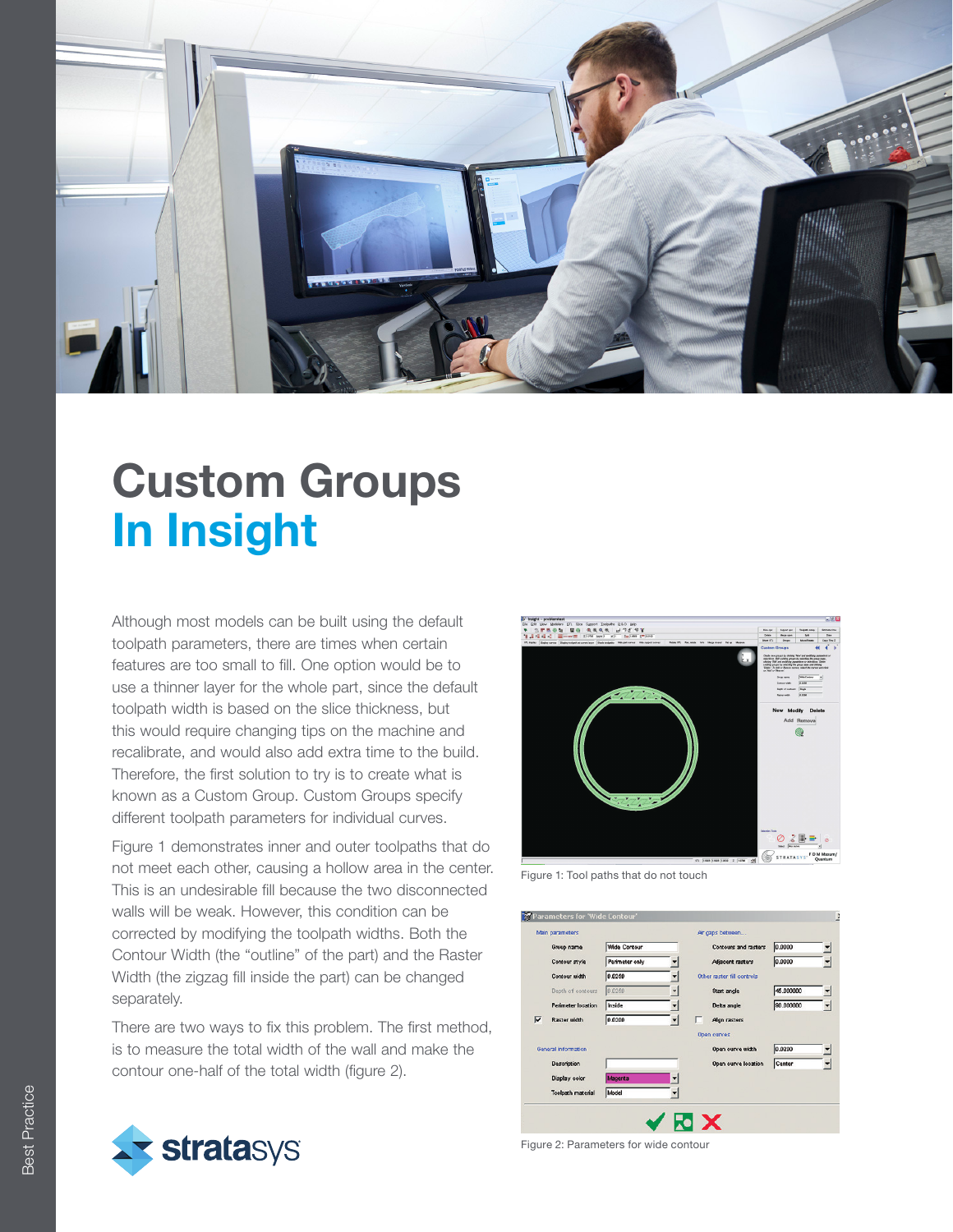

### Custom Groups In Insight

Although most models can be built using the default toolpath parameters, there are times when certain features are too small to fill. One option would be to use a thinner layer for the whole part, since the default toolpath width is based on the slice thickness, but this would require changing tips on the machine and recalibrate, and would also add extra time to the build. Therefore, the first solution to try is to create what is known as a Custom Group. Custom Groups specify different toolpath parameters for individual curves.

Figure 1 demonstrates inner and outer toolpaths that do not meet each other, causing a hollow area in the center. This is an undesirable fill because the two disconnected walls will be weak. However, this condition can be corrected by modifying the toolpath widths. Both the Contour Width (the "outline" of the part) and the Raster Width (the zigzag fill inside the part) can be changed separately.

There are two ways to fix this problem. The first method, is to measure the total width of the wall and make the contour one-half of the total width (figure 2).





Figure 1: Tool paths that do not touch



Figure 2: Parameters for wide contour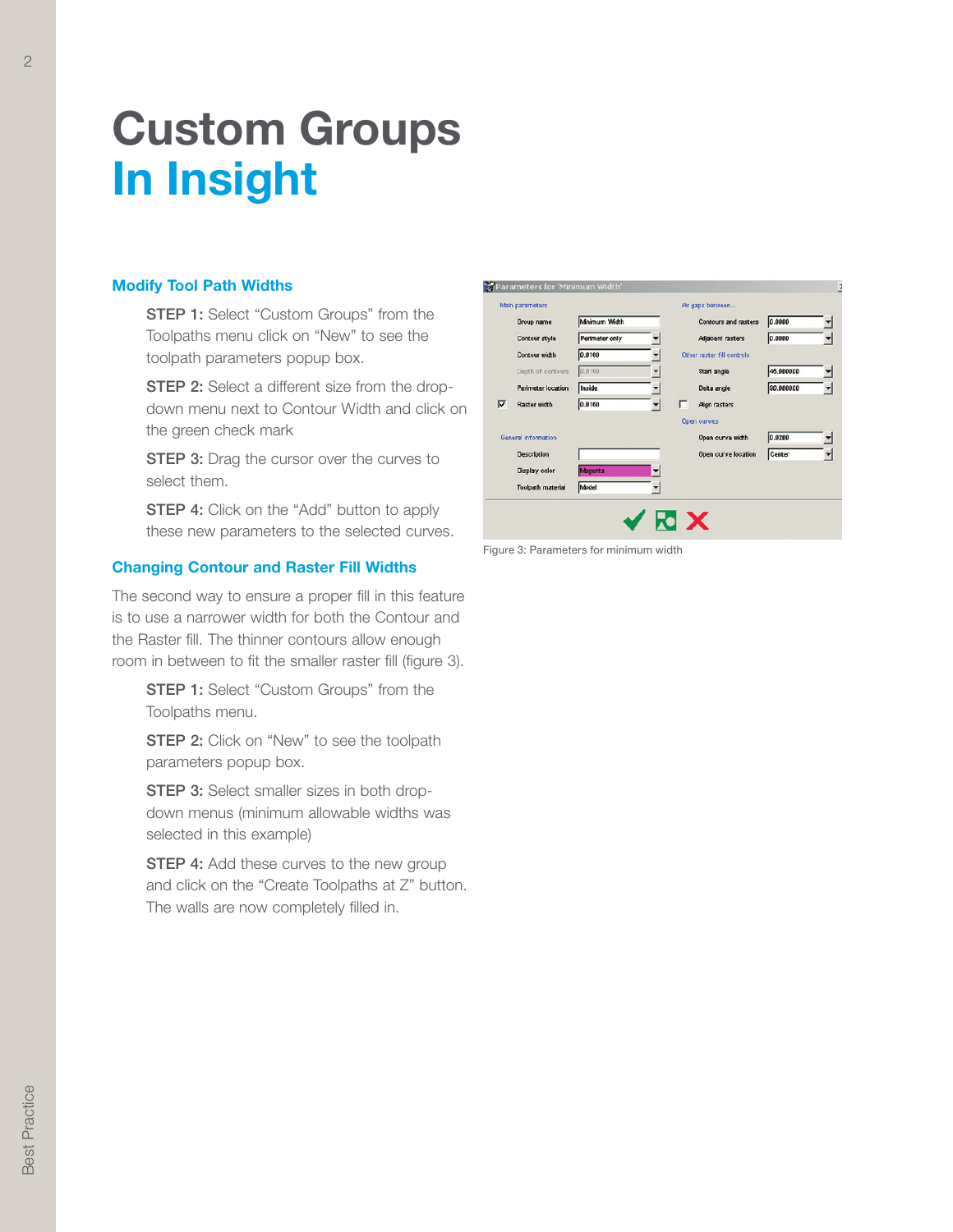# Custom Groups In Insight

### Modify Tool Path Widths

- **STEP 1:** Select "Custom Groups" from the Toolpaths menu click on "New" to see the toolpath parameters popup box.
- **STEP 2:** Select a different size from the dropdown menu next to Contour Width and click on the green check mark
- **STEP 3:** Drag the cursor over the curves to select them.
- **STEP 4:** Click on the "Add" button to apply these new parameters to the selected curves.

#### Changing Contour and Raster Fill Widths

The second way to ensure a proper fill in this feature is to use a narrower width for both the Contour and the Raster fill. The thinner contours allow enough room in between to fit the smaller raster fill (figure 3).

**STEP 1:** Select "Custom Groups" from the Toolpaths menu.

**STEP 2:** Click on "New" to see the toolpath parameters popup box.

**STEP 3:** Select smaller sizes in both dropdown menus (minimum allowable widths was selected in this example)

**STEP 4:** Add these curves to the new group and click on the "Create Toolpaths at Z" button. The walls are now completely filled in.

|                            | Group name                | Mnimum Width   | Contours and rasters       | 0.0000    |  |
|----------------------------|---------------------------|----------------|----------------------------|-----------|--|
|                            | Contour style             | Perimeter only | Adjacent rasters           | 0.0000    |  |
|                            | Contour width             | 0.0160         | Other raster fill controls |           |  |
|                            | Depth of contours         | 0.0160         | Start angle                | 45.000000 |  |
|                            | <b>Perimeter location</b> | Inside         | Delta angle                | 90.000000 |  |
| ⊽                          | <b>Raster width</b>       | 0.0160         | Align rasters              |           |  |
|                            |                           |                | Open curves                |           |  |
| <b>General information</b> |                           |                | Open curve width           | 0.0200    |  |
|                            | Description               |                | Open curve location        | Center    |  |
|                            | Display color             | Magenta        |                            |           |  |
|                            | <b>Toolpath material</b>  | Model          |                            |           |  |